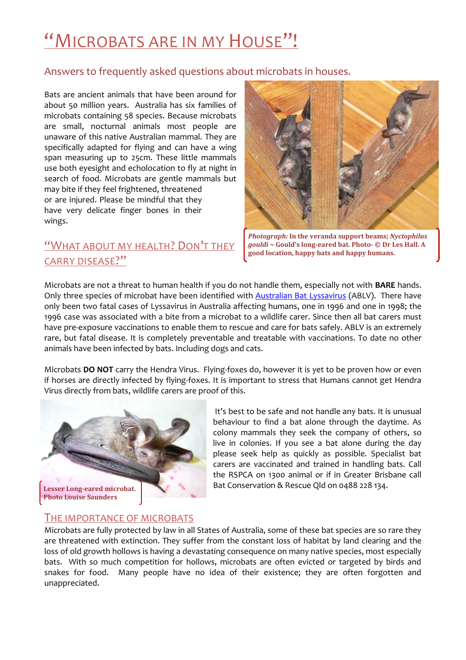# "MICROBATS ARE IN MY HOUSE"!

#### Answers to frequently asked questions about microbats in houses.

Bats are ancient animals that have been around for about 50 million years. Australia has six families of microbats containing 58 species. Because microbats are small, nocturnal animals most people are unaware of this native Australian mammal. They are specifically adapted for flying and can have a wing span measuring up to 25cm. These little mammals use both eyesight and echolocation to fly at night in search of food. Microbats are gentle mammals but may bite if they feel frightened, threatened or are injured. Please be mindful that they have very delicate finger bones in their wings.

## "WHAT ABOUT MY HEALTH? DON'T THEY CARRY DISEASE?"



*Photograph:* **In the veranda support beams;** *Nyctophilus gouldi* **~ Gould's long-eared bat. Photo- © Dr Les Hall. A good location, happy bats and happy humans.** 

Microbats are not a threat to human health if you do not handle them, especially not with **BARE** hands. Only three species of microbat have been identified with **Australian Bat Lyssavirus** (ABLV). There have only been two fatal cases of Lyssavirus in Australia affecting humans, one in 1996 and one in 1998; the 1996 case was associated with a bite from a microbat to a wildlife carer. Since then all bat carers must have pre-exposure vaccinations to enable them to rescue and care for bats safely. ABLV is an extremely rare, but fatal disease. It is completely preventable and treatable with vaccinations. To date no other animals have been infected by bats. Including dogs and cats.

Microbats **DO NOT** carry the Hendra Virus. Flying-foxes do, however it is yet to be proven how or even if horses are directly infected by flying-foxes. It is important to stress that Humans cannot get Hendra Virus directly from bats, wildlife carers are proof of this.



It's best to be safe and not handle any bats. It is unusual behaviour to find a bat alone through the daytime. As colony mammals they seek the company of others, so live in colonies. If you see a bat alone during the day please seek help as quickly as possible. Specialist bat carers are vaccinated and trained in handling bats. Call the RSPCA on 1300 animal or if in Greater Brisbane call Bat Conservation & Rescue Qld on 0488 228 134.

#### THE IMPORTANCE OF MICROBATS

Microbats are fully protected by law in all States of Australia, some of these bat species are so rare they are threatened with extinction. They suffer from the constant loss of habitat by land clearing and the loss of old growth hollows is having a devastating consequence on many native species, most especially bats. With so much competition for hollows, microbats are often evicted or targeted by birds and snakes for food. Many people have no idea of their existence; they are often forgotten and unappreciated.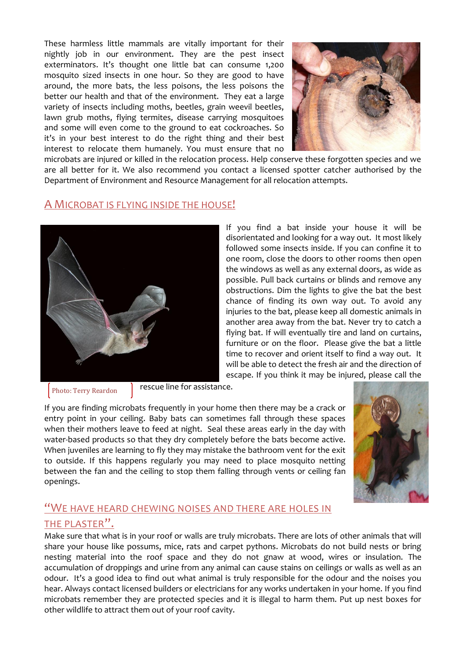These harmless little mammals are vitally important for their nightly job in our environment. They are the pest insect exterminators. It's thought one little bat can consume 1,200 mosquito sized insects in one hour. So they are good to have around, the more bats, the less poisons, the less poisons the better our health and that of the environment. They eat a large variety of insects including moths, beetles, grain weevil beetles, lawn grub moths, flying termites, disease carrying mosquitoes and some will even come to the ground to eat cockroaches. So it's in your best interest to do the right thing and their best interest to relocate them humanely. You must ensure that no



microbats are injured or killed in the relocation process. Help conserve these forgotten species and we are all better for it. We also recommend you contact a licensed spotter catcher authorised by the Department of Environment and Resource Management for all relocation attempts.

#### A MICROBAT IS FLYING INSIDE THE HOUSE!



If you find a bat inside your house it will be disorientated and looking for a way out. It most likely followed some insects inside. If you can confine it to one room, close the doors to other rooms then open the windows as well as any external doors, as wide as possible. Pull back curtains or blinds and remove any obstructions. Dim the lights to give the bat the best chance of finding its own way out. To avoid any injuries to the bat, please keep all domestic animals in another area away from the bat. Never try to catch a flying bat. If will eventually tire and land on curtains, furniture or on the floor. Please give the bat a little time to recover and orient itself to find a way out. It will be able to detect the fresh air and the direction of escape. If you think it may be injured, please call the

Photo: Terry Reardon

rescue line for assistance.

If you are finding microbats frequently in your home then there may be a crack or entry point in your ceiling. Baby bats can sometimes fall through these spaces when their mothers leave to feed at night. Seal these areas early in the day with water-based products so that they dry completely before the bats become active. When juveniles are learning to fly they may mistake the bathroom vent for the exit to outside. If this happens regularly you may need to place mosquito netting between the fan and the ceiling to stop them falling through vents or ceiling fan openings.



## "WE HAVE HEARD CHEWING NOISES AND THERE ARE HOLES IN THE PLASTER".

Make sure that what is in your roof or walls are truly microbats. There are lots of other animals that will share your house like possums, mice, rats and carpet pythons. Microbats do not build nests or bring nesting material into the roof space and they do not gnaw at wood, wires or insulation. The accumulation of droppings and urine from any animal can cause stains on ceilings or walls as well as an odour. It's a good idea to find out what animal is truly responsible for the odour and the noises you hear. Always contact licensed builders or electricians for any works undertaken in your home. If you find microbats remember they are protected species and it is illegal to harm them. Put up nest boxes for other wildlife to attract them out of your roof cavity.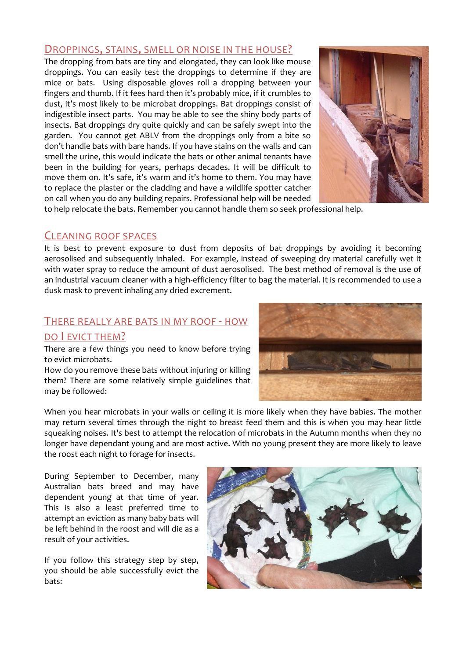#### DROPPINGS, STAINS, SMELL OR NOISE IN THE HOUSE?

The dropping from bats are tiny and elongated, they can look like mouse droppings. You can easily test the droppings to determine if they are mice or bats. Using disposable gloves roll a dropping between your fingers and thumb. If it fees hard then it's probably mice, if it crumbles to dust, it's most likely to be microbat droppings. Bat droppings consist of indigestible insect parts. You may be able to see the shiny body parts of insects. Bat droppings dry quite quickly and can be safely swept into the garden. You cannot get ABLV from the droppings only from a bite so don't handle bats with bare hands. If you have stains on the walls and can smell the urine, this would indicate the bats or other animal tenants have been in the building for years, perhaps decades. It will be difficult to move them on. It's safe, it's warm and it's home to them. You may have to replace the plaster or the cladding and have a wildlife spotter catcher on call when you do any building repairs. Professional help will be needed



to help relocate the bats. Remember you cannot handle them so seek professional help.

### CLEANING ROOF SPACES

It is best to prevent exposure to dust from deposits of bat droppings by avoiding it becoming aerosolised and subsequently inhaled. For example, instead of sweeping dry material carefully wet it with water spray to reduce the amount of dust aerosolised. The best method of removal is the use of an industrial vacuum cleaner with a high-efficiency filter to bag the material. It is recommended to use a dusk mask to prevent inhaling any dried excrement.

#### THERE REALLY ARE BATS IN MY ROOF - HOW

#### DO I EVICT THEM?

There are a few things you need to know before trying to evict microbats.

How do you remove these bats without injuring or killing them? There are some relatively simple guidelines that may be followed:



When you hear microbats in your walls or ceiling it is more likely when they have babies. The mother may return several times through the night to breast feed them and this is when you may hear little squeaking noises. It's best to attempt the relocation of microbats in the Autumn months when they no longer have dependant young and are most active. With no young present they are more likely to leave the roost each night to forage for insects.

During September to December, many Australian bats breed and may have dependent young at that time of year. This is also a least preferred time to attempt an eviction as many baby bats will be left behind in the roost and will die as a result of your activities.

If you follow this strategy step by step, you should be able successfully evict the bats:

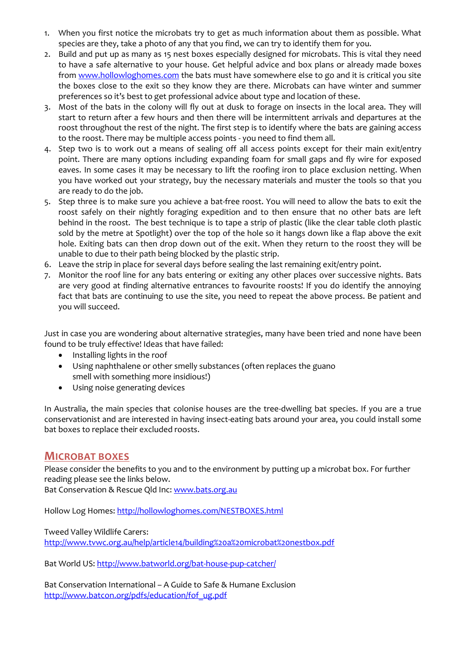- 1. When you first notice the microbats try to get as much information about them as possible. What species are they, take a photo of any that you find, we can try to identify them for you.
- 2. Build and put up as many as 15 nest boxes especially designed for microbats. This is vital they need to have a safe alternative to your house. Get helpful advice and box plans or already made boxes from [www.hollowloghomes.com](http://www.hollowloghomes.com/) the bats must have somewhere else to go and it is critical you site the boxes close to the exit so they know they are there. Microbats can have winter and summer preferences so it's best to get professional advice about type and location of these.
- 3. Most of the bats in the colony will fly out at dusk to forage on insects in the local area. They will start to return after a few hours and then there will be intermittent arrivals and departures at the roost throughout the rest of the night. The first step is to identify where the bats are gaining access to the roost. There may be multiple access points - you need to find them all.
- 4. Step two is to work out a means of sealing off all access points except for their main exit/entry point. There are many options including expanding foam for small gaps and fly wire for exposed eaves. In some cases it may be necessary to lift the roofing iron to place exclusion netting. When you have worked out your strategy, buy the necessary materials and muster the tools so that you are ready to do the job.
- 5. Step three is to make sure you achieve a bat-free roost. You will need to allow the bats to exit the roost safely on their nightly foraging expedition and to then ensure that no other bats are left behind in the roost. The best technique is to tape a strip of plastic (like the clear table cloth plastic sold by the metre at Spotlight) over the top of the hole so it hangs down like a flap above the exit hole. Exiting bats can then drop down out of the exit. When they return to the roost they will be unable to due to their path being blocked by the plastic strip.
- 6. Leave the strip in place for several days before sealing the last remaining exit/entry point.
- 7. Monitor the roof line for any bats entering or exiting any other places over successive nights. Bats are very good at finding alternative entrances to favourite roosts! If you do identify the annoying fact that bats are continuing to use the site, you need to repeat the above process. Be patient and you will succeed.

Just in case you are wondering about alternative strategies, many have been tried and none have been found to be truly effective! Ideas that have failed:

- Installing lights in the roof
- Using naphthalene or other smelly substances (often replaces the guano  $\bullet$ smell with something more insidious!)
- Using noise generating devices  $\bullet$

In Australia, the main species that colonise houses are the tree-dwelling bat species. If you are a true conservationist and are interested in having insect-eating bats around your area, you could install some bat boxes to replace their excluded roosts.

#### **MICROBAT BOXES**

Please consider the benefits to you and to the environment by putting up a microbat box. For further reading please see the links below.

Bat Conservation & Rescue Qld Inc: [www.bats.org.au](http://www.bats.org.au/)

Hollow Log Homes[: http://hollowloghomes.com/NESTBOXES.html](http://hollowloghomes.com/NESTBOXES.html)

Tweed Valley Wildlife Carers: <http://www.tvwc.org.au/help/article14/building%20a%20microbat%20nestbox.pdf>

Bat World US:<http://www.batworld.org/bat-house-pup-catcher/>

Bat Conservation International – A Guide to Safe & Humane Exclusion [http://www.batcon.org/pdfs/education/fof\\_ug.pdf](http://www.batcon.org/pdfs/education/fof_ug.pdf)